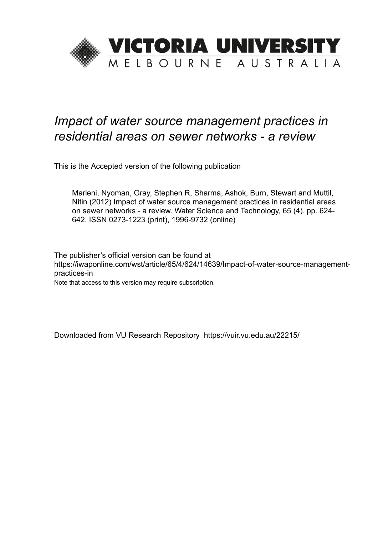

# *Impact of water source management practices in residential areas on sewer networks - a review*

This is the Accepted version of the following publication

Marleni, Nyoman, Gray, Stephen R, Sharma, Ashok, Burn, Stewart and Muttil, Nitin (2012) Impact of water source management practices in residential areas on sewer networks - a review. Water Science and Technology, 65 (4). pp. 624- 642. ISSN 0273-1223 (print), 1996-9732 (online)

The publisher's official version can be found at https://iwaponline.com/wst/article/65/4/624/14639/Impact-of-water-source-managementpractices-in

Note that access to this version may require subscription.

Downloaded from VU Research Repository https://vuir.vu.edu.au/22215/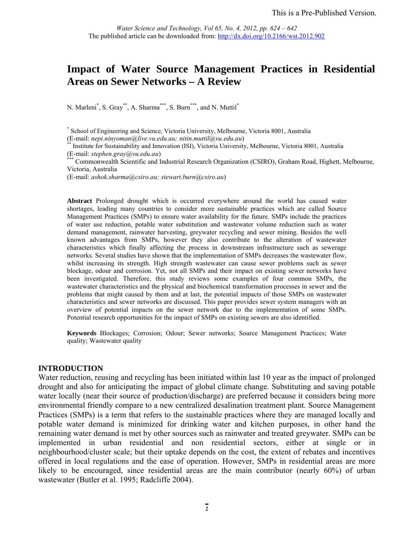## **Impact of Water Source Management Practices in Residential Areas on Sewer Networks – A Review**

N. Marleni<sup>\*</sup>, S. Gray<sup>\*\*</sup>, A. Sharma<sup>\*\*\*</sup>, S. Burn<sup>\*\*\*</sup>, and N. Muttil<sup>\*</sup>

<sup>\*\*</sup> Institute for Sustainability and Innovation (ISI), Victoria University, Melbourne, Victoria 8001, Australia (E-mail: *stephen.gray@vu.edu.au*)

Commonwealth Scientific and Industrial Research Organization (CSIRO), Graham Road, Highett, Melbourne, Victoria, Australia

(E-mail: *ashok.sharma@csiro.au; stewart.burn@csiro.au*)

**Abstract** Prolonged drought which is occurred everywhere around the world has caused water shortages, leading many countries to consider more sustainable practices which are called Source Management Practices (SMPs) to ensure water availability for the future. SMPs include the practices of water use reduction, potable water substitution and wastewater volume reduction such as water demand management, rainwater harvesting, greywater recycling and sewer mining. Besides the well known advantages from SMPs, however they also contribute to the alteration of wastewater characteristics which finally affecting the process in downstream infrastructure such as sewerage networks. Several studies have shown that the implementation of SMPs decreases the wastewater flow, whilst increasing its strength. High strength wastewater can cause sewer problems such as sewer blockage, odour and corrosion. Yet, not all SMPs and their impact on existing sewer networks have been investigated. Therefore, this study reviews some examples of four common SMPs, the wastewater characteristics and the physical and biochemical transformation processes in sewer and the problems that might caused by them and at last, the potential impacts of those SMPs on wastewater characteristics and sewer networks are discussed. This paper provides sewer system managers with an overview of potential impacts on the sewer network due to the implementation of some SMPs. Potential research opportunities for the impact of SMPs on existing sewers are also identified.

**Keywords** Blockages; Corrosion; Odour; Sewer networks; Source Management Practices; Water quality; Wastewater quality

#### **INTRODUCTION**

Water reduction, reusing and recycling has been initiated within last 10 year as the impact of prolonged drought and also for anticipating the impact of global climate change. Substituting and saving potable water locally (near their source of production/discharge) are preferred because it considers being more environmental friendly compare to a new centralized desalination treatment plant. Source Management Practices (SMPs) is a term that refers to the sustainable practices where they are managed locally and potable water demand is minimized for drinking water and kitchen purposes, in other hand the remaining water demand is met by other sources such as rainwater and treated greywater. SMPs can be implemented in urban residential and non residential sectors, either at single or in neighbourhood/cluster scale; but their uptake depends on the cost, the extent of rebates and incentives offered in local regulations and the ease of operation. However, SMPs in residential areas are more likely to be encouraged, since residential areas are the main contributor (nearly 60%) of urban wastewater (Butler et al. 1995; Radcliffe 2004).

<sup>\*</sup> School of Engineering and Science, Victoria University, Melbourne, Victoria 8001, Australia (E-mail: *nepi.ninyoman@live.vu.edu.au; nitin.muttil@yu.edu.au*)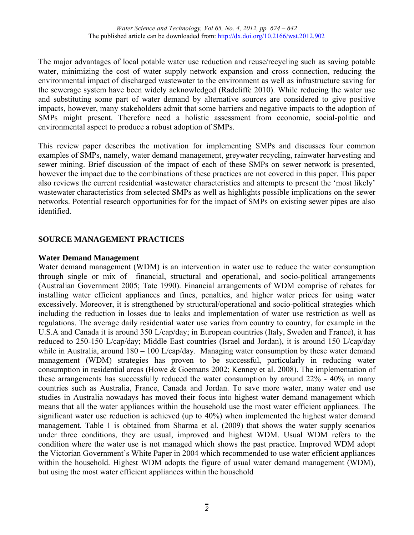The major advantages of local potable water use reduction and reuse/recycling such as saving potable water, minimizing the cost of water supply network expansion and cross connection, reducing the environmental impact of discharged wastewater to the environment as well as infrastructure saving for the sewerage system have been widely acknowledged (Radcliffe 2010). While reducing the water use and substituting some part of water demand by alternative sources are considered to give positive impacts, however, many stakeholders admit that some barriers and negative impacts to the adoption of SMPs might present. Therefore need a holistic assessment from economic, social-politic and environmental aspect to produce a robust adoption of SMPs.

This review paper describes the motivation for implementing SMPs and discusses four common examples of SMPs, namely, water demand management, greywater recycling, rainwater harvesting and sewer mining. Brief discussion of the impact of each of these SMPs on sewer network is presented, however the impact due to the combinations of these practices are not covered in this paper. This paper also reviews the current residential wastewater characteristics and attempts to present the 'most likely' wastewater characteristics from selected SMPs as well as highlights possible implications on the sewer networks. Potential research opportunities for for the impact of SMPs on existing sewer pipes are also identified.

## **SOURCE MANAGEMENT PRACTICES**

## **Water Demand Management**

Water demand management (WDM) is an intervention in water use to reduce the water consumption through single or mix of financial, structural and operational, and socio-political arrangements (Australian Government 2005; Tate 1990). Financial arrangements of WDM comprise of rebates for installing water efficient appliances and fines, penalties, and higher water prices for using water excessively. Moreover, it is strengthened by structural/operational and socio-political strategies which including the reduction in losses due to leaks and implementation of water use restriction as well as regulations. The average daily residential water use varies from country to country, for example in the U.S.A and Canada it is around 350 L/cap/day; in European countries (Italy, Sweden and France), it has reduced to 250-150 L/cap/day; Middle East countries (Israel and Jordan), it is around 150 L/cap/day while in Australia, around  $180 - 100$  L/cap/day. Managing water consumption by these water demand management (WDM) strategies has proven to be successful, particularly in reducing water consumption in residential areas (Howe & Goemans 2002; Kenney et al. 2008). The implementation of these arrangements has successfully reduced the water consumption by around 22% - 40% in many countries such as Australia, France, Canada and Jordan. To save more water, many water end use studies in Australia nowadays has moved their focus into highest water demand management which means that all the water appliances within the household use the most water efficient appliances. The significant water use reduction is achieved (up to 40%) when implemented the highest water demand management. Table 1 is obtained from Sharma et al. (2009) that shows the water supply scenarios under three conditions, they are usual, improved and highest WDM. Usual WDM refers to the condition where the water use is not managed which shows the past practice. Improved WDM adopt the Victorian Government's White Paper in 2004 which recommended to use water efficient appliances within the household. Highest WDM adopts the figure of usual water demand management (WDM), but using the most water efficient appliances within the household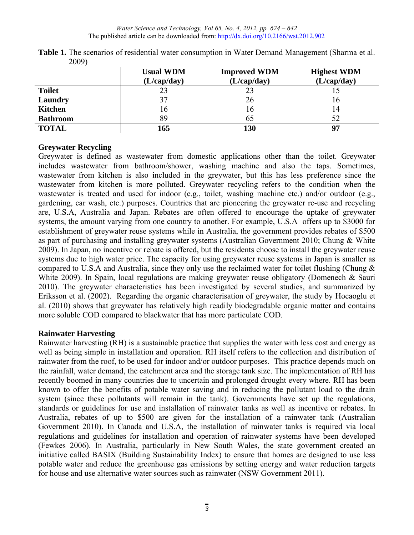|                 | <b>Usual WDM</b><br>(L/cap/day) | <b>Improved WDM</b><br>(L/cap/day) | <b>Highest WDM</b><br>(L/cap/day) |
|-----------------|---------------------------------|------------------------------------|-----------------------------------|
| <b>Toilet</b>   | 23                              | 23                                 |                                   |
| Laundry         | 37                              | 26                                 | 16                                |
| <b>Kitchen</b>  | 16                              | 16                                 | 14                                |
| <b>Bathroom</b> | 89                              | 65                                 | 52                                |
| <b>TOTAL</b>    | 165                             | 130                                |                                   |

**Table 1.** The scenarios of residential water consumption in Water Demand Management (Sharma et al. 2009)

## **Greywater Recycling**

Greywater is defined as wastewater from domestic applications other than the toilet. Greywater includes wastewater from bathroom/shower, washing machine and also the taps. Sometimes, wastewater from kitchen is also included in the greywater, but this has less preference since the wastewater from kitchen is more polluted. Greywater recycling refers to the condition when the wastewater is treated and used for indoor (e.g., toilet, washing machine etc.) and/or outdoor (e.g., gardening, car wash, etc.) purposes. Countries that are pioneering the greywater re-use and recycling are, U.S.A, Australia and Japan. Rebates are often offered to encourage the uptake of greywater systems, the amount varying from one country to another. For example, U.S.A offers up to \$3000 for establishment of greywater reuse systems while in Australia, the government provides rebates of \$500 as part of purchasing and installing greywater systems (Australian Government 2010; Chung & White 2009). In Japan, no incentive or rebate is offered, but the residents choose to install the greywater reuse systems due to high water price. The capacity for using greywater reuse systems in Japan is smaller as compared to U.S.A and Australia, since they only use the reclaimed water for toilet flushing (Chung & White 2009). In Spain, local regulations are making greywater reuse obligatory (Domenech & Sauri 2010). The greywater characteristics has been investigated by several studies, and summarized by Eriksson et al. (2002). Regarding the organic characterisation of greywater, the study by Hocaoglu et al. (2010) shows that greywater has relatively high readily biodegradable organic matter and contains more soluble COD compared to blackwater that has more particulate COD.

## **Rainwater Harvesting**

Rainwater harvesting (RH) is a sustainable practice that supplies the water with less cost and energy as well as being simple in installation and operation. RH itself refers to the collection and distribution of rainwater from the roof, to be used for indoor and/or outdoor purposes. This practice depends much on the rainfall, water demand, the catchment area and the storage tank size. The implementation of RH has recently boomed in many countries due to uncertain and prolonged drought every where. RH has been known to offer the benefits of potable water saving and in reducing the pollutant load to the drain system (since these pollutants will remain in the tank). Governments have set up the regulations, standards or guidelines for use and installation of rainwater tanks as well as incentive or rebates. In Australia, rebates of up to \$500 are given for the installation of a rainwater tank (Australian Government 2010). In Canada and U.S.A, the installation of rainwater tanks is required via local regulations and guidelines for installation and operation of rainwater systems have been developed (Fewkes 2006). In Australia, particularly in New South Wales, the state government created an initiative called BASIX (Building Sustainability Index) to ensure that homes are designed to use less potable water and reduce the greenhouse gas emissions by setting energy and water reduction targets for house and use alternative water sources such as rainwater (NSW Government 2011).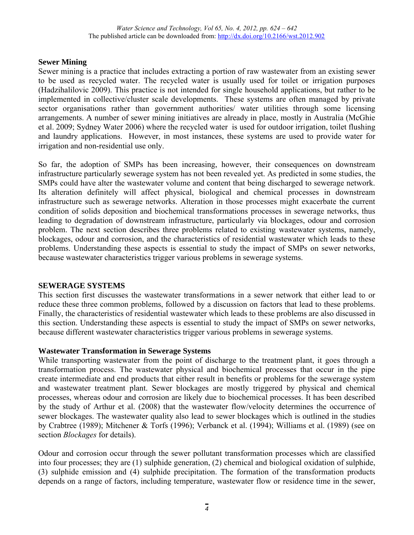## **Sewer Mining**

Sewer mining is a practice that includes extracting a portion of raw wastewater from an existing sewer to be used as recycled water. The recycled water is usually used for toilet or irrigation purposes (Hadzihalilovic 2009). This practice is not intended for single household applications, but rather to be implemented in collective/cluster scale developments. These systems are often managed by private sector organisations rather than government authorities/ water utilities through some licensing arrangements. A number of sewer mining initiatives are already in place, mostly in Australia (McGhie et al. 2009; Sydney Water 2006) where the recycled water is used for outdoor irrigation, toilet flushing and laundry applications. However, in most instances, these systems are used to provide water for irrigation and non-residential use only.

So far, the adoption of SMPs has been increasing, however, their consequences on downstream infrastructure particularly sewerage system has not been revealed yet. As predicted in some studies, the SMPs could have alter the wastewater volume and content that being discharged to sewerage network. Its alteration definitely will affect physical, biological and chemical processes in downstream infrastructure such as sewerage networks. Alteration in those processes might exacerbate the current condition of solids deposition and biochemical transformations processes in sewerage networks, thus leading to degradation of downstream infrastructure, particularly via blockages, odour and corrosion problem. The next section describes three problems related to existing wastewater systems, namely, blockages, odour and corrosion, and the characteristics of residential wastewater which leads to these problems. Understanding these aspects is essential to study the impact of SMPs on sewer networks, because wastewater characteristics trigger various problems in sewerage systems.

## **SEWERAGE SYSTEMS**

This section first discusses the wastewater transformations in a sewer network that either lead to or reduce these three common problems, followed by a discussion on factors that lead to these problems. Finally, the characteristics of residential wastewater which leads to these problems are also discussed in this section. Understanding these aspects is essential to study the impact of SMPs on sewer networks, because different wastewater characteristics trigger various problems in sewerage systems.

## **Wastewater Transformation in Sewerage Systems**

While transporting wastewater from the point of discharge to the treatment plant, it goes through a transformation process. The wastewater physical and biochemical processes that occur in the pipe create intermediate and end products that either result in benefits or problems for the sewerage system and wastewater treatment plant. Sewer blockages are mostly triggered by physical and chemical processes, whereas odour and corrosion are likely due to biochemical processes. It has been described by the study of Arthur et al. (2008) that the wastewater flow/velocity determines the occurrence of sewer blockages. The wastewater quality also lead to sewer blockages which is outlined in the studies by Crabtree (1989); Mitchener & Torfs (1996); Verbanck et al. (1994); Williams et al. (1989) (see on section *Blockages* for details).

Odour and corrosion occur through the sewer pollutant transformation processes which are classified into four processes; they are (1) sulphide generation, (2) chemical and biological oxidation of sulphide, (3) sulphide emission and (4) sulphide precipitation. The formation of the transformation products depends on a range of factors, including temperature, wastewater flow or residence time in the sewer,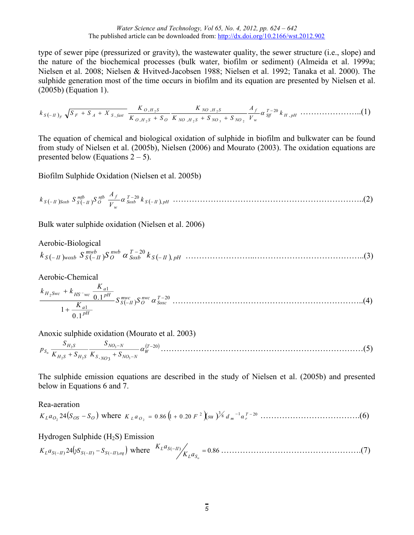type of sewer pipe (pressurized or gravity), the wastewater quality, the sewer structure (i.e., slope) and the nature of the biochemical processes (bulk water, biofilm or sediment) (Almeida et al. 1999a; Nielsen et al. 2008; Nielsen & Hvitved-Jacobsen 1988; Nielsen et al. 1992; Tanaka et al. 2000). The sulphide generation most of the time occurs in biofilm and its equation are presented by Nielsen et al. (2005b) (Equation 1).

$$
k_{S(-H)_{f}}\sqrt{S_{F}+S_{A}+X_{S,fast}}\frac{K_{O,H_{2}S}}{K_{O,H_{2}S}+S_{O}}\frac{K_{NO,H_{2}S}}{K_{NO,H_{2}S}+S_{NO_{3}}+S_{NO_{2}}}\\\frac{A_{f}}{V_{w}}\alpha_{Sf}^{T-20}k_{H,pH}\cdots\cdots\cdots\cdots\cdots\cdots(1)
$$

The equation of chemical and biological oxidation of sulphide in biofilm and bulkwater can be found from study of Nielsen et al. (2005b), Nielsen (2006) and Mourato (2003). The oxidation equations are presented below (Equations  $2 - 5$ ).

Biofilm Sulphide Oxidation (Nielsen et al. 2005b)

 *S II pH T Soxb w nfb f O mfb <sup>S</sup> II Soxb <sup>S</sup> II k V A <sup>k</sup> <sup>S</sup> <sup>S</sup>* , <sup>20</sup> ……………………………………………………………..(2)

Bulk water sulphide oxidation (Nielsen et al. 2006)

Aerobic-Biological

 $\int_{-H}^{H}$  *S*  $\int_{S}^{H}$  *S*  $\int_{I}^{H}$  *S*  $\int_{I}^{H}$  *N*  $\int_{I}^{H}$  *Z*  $\int_{I}^{T}$  *S*  $\int_{I}^{T}$  *Z*  $\int_{I}^{T}$  *Z*  $\int_{I}^{T}$  *S*  $\int_{I}^{T}$  *Z*  $\int_{I}^{T}$  *Z*  $\int_{I}^{T}$  *Z*  $\int_{I}^{T}$  *Z*  $\int_{I}^{T}$  *Z*  $\int_{I}^{T}$ *Soxb nwb O*  $k_{S(-H)}$ <sub>*woxb*</sub>  $S_{S(-H)}^{mwb}$ <sub>*S*</sub><sup>*nwb*</sup>  $\alpha$ <sub>*Soxb*</sub>  $k_{S(-H)}$ <sub>*n*</sub>  $\overline{a}$ ……………………..…………………………………..(3)

Aerobic-Chemical

$$
\frac{k_{H_2Swc} + k_{HS^-wc} \frac{K_{a1}}{0.1^{pH}}}{1 + \frac{K_{a1}}{0.1^{pH}}} S_{S(-H)}^{mwc} S_{0xc}^{mwc} \alpha_{Soxc}^{T-20} \dots
$$
 (4)

Anoxic sulphide oxidation (Mourato et al. 2003)

 $(T - 20)$  $, NO_3 \stackrel{\mathsf{I}}{\longrightarrow} NO_3$ 3  $2^{\circ}$   $n_2$  $\frac{1}{2}S$   $\qquad \qquad \frac{1}{2}NO_3 - N$   $\qquad \qquad \frac{1}{2}T - N$  $\overline{a}$ - $+S_{H_2S}K_{S_1}$  +  $\frac{G_{NO_3-N}}{G_{N}} \alpha_W^{(T)}$ <br>*S*,  $NQ_3$  +  $S_{NO_3-N}$  $NO<sub>3</sub>-N$  $H_2 S$  <sup>+</sup>  $\rightarrow$   $H_2 S$  $H_2S$  $S_n$   $\overline{K_{H,S} + S_{H,S}}$   $\overline{K_{S_{MOS}} + S}$ *S*  $K_{H,S}$  + S *S <sup>p</sup> <sup>n</sup>* …………………………………………………………………(5)

The sulphide emission equations are described in the study of Nielsen et al. (2005b) and presented below in Equations 6 and 7.

## Rea-aeration  $K_L a_{O_2} 24(S_{OS} - S_O)$  where  $K_L a_{O_2} = 0.86 \left(1 + 0.20 F^2\right) \left(\frac{3}{2} \mu\right)^{3/2} \left(\frac{3}{2} \mu\right)^{-1} \left(\frac{3}{2} \mu\right)^{-2} \left(\frac{3}{2} \mu\right)^{-1}$

Hydrogen Sulphide  $(H<sub>2</sub>S)$  Emission

$$
K_L a_{S(-H)} 24(yS_{S(-H)} - S_{S(-H),eq})
$$
 where  $K_L a_{S(-H)} / K_L a_{S_o} = 0.86$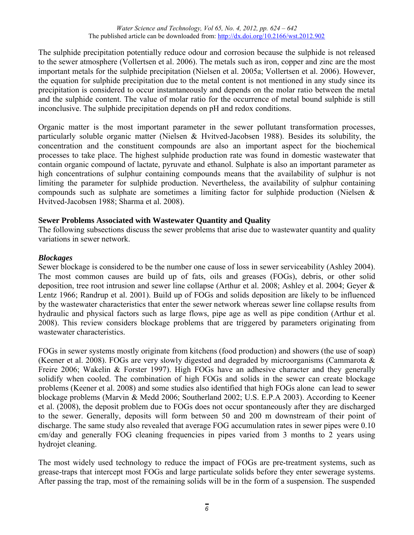The sulphide precipitation potentially reduce odour and corrosion because the sulphide is not released to the sewer atmosphere (Vollertsen et al. 2006). The metals such as iron, copper and zinc are the most important metals for the sulphide precipitation (Nielsen et al. 2005a; Vollertsen et al. 2006). However, the equation for sulphide precipitation due to the metal content is not mentioned in any study since its precipitation is considered to occur instantaneously and depends on the molar ratio between the metal and the sulphide content. The value of molar ratio for the occurrence of metal bound sulphide is still inconclusive. The sulphide precipitation depends on pH and redox conditions.

Organic matter is the most important parameter in the sewer pollutant transformation processes, particularly soluble organic matter (Nielsen & Hvitved-Jacobsen 1988). Besides its solubility, the concentration and the constituent compounds are also an important aspect for the biochemical processes to take place. The highest sulphide production rate was found in domestic wastewater that contain organic compound of lactate, pyruvate and ethanol. Sulphate is also an important parameter as high concentrations of sulphur containing compounds means that the availability of sulphur is not limiting the parameter for sulphide production. Nevertheless, the availability of sulphur containing compounds such as sulphate are sometimes a limiting factor for sulphide production (Nielsen & Hvitved-Jacobsen 1988; Sharma et al. 2008).

## **Sewer Problems Associated with Wastewater Quantity and Quality**

The following subsections discuss the sewer problems that arise due to wastewater quantity and quality variations in sewer network.

## *Blockages*

Sewer blockage is considered to be the number one cause of loss in sewer serviceability (Ashley 2004). The most common causes are build up of fats, oils and greases (FOGs), debris, or other solid deposition, tree root intrusion and sewer line collapse (Arthur et al. 2008; Ashley et al. 2004; Geyer & Lentz 1966; Randrup et al. 2001). Build up of FOGs and solids deposition are likely to be influenced by the wastewater characteristics that enter the sewer network whereas sewer line collapse results from hydraulic and physical factors such as large flows, pipe age as well as pipe condition (Arthur et al. 2008). This review considers blockage problems that are triggered by parameters originating from wastewater characteristics.

FOGs in sewer systems mostly originate from kitchens (food production) and showers (the use of soap) (Keener et al. 2008). FOGs are very slowly digested and degraded by microorganisms (Cammarota & Freire 2006; Wakelin & Forster 1997). High FOGs have an adhesive character and they generally solidify when cooled. The combination of high FOGs and solids in the sewer can create blockage problems (Keener et al. 2008) and some studies also identified that high FOGs alone can lead to sewer blockage problems (Marvin & Medd 2006; Southerland 2002; U.S. E.P.A 2003). According to Keener et al. (2008), the deposit problem due to FOGs does not occur spontaneously after they are discharged to the sewer. Generally, deposits will form between 50 and 200 m downstream of their point of discharge. The same study also revealed that average FOG accumulation rates in sewer pipes were 0.10 cm/day and generally FOG cleaning frequencies in pipes varied from 3 months to 2 years using hydrojet cleaning.

The most widely used technology to reduce the impact of FOGs are pre-treatment systems, such as grease-traps that intercept most FOGs and large particulate solids before they enter sewerage systems. After passing the trap, most of the remaining solids will be in the form of a suspension. The suspended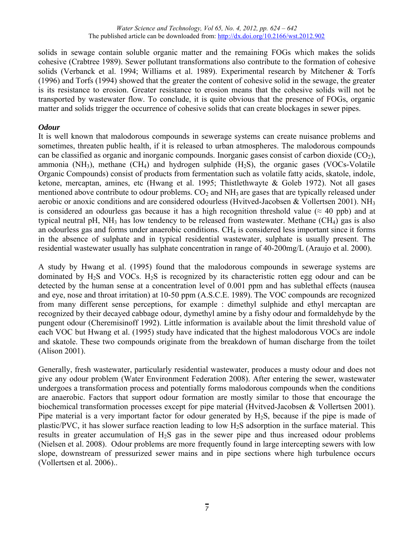solids in sewage contain soluble organic matter and the remaining FOGs which makes the solids cohesive (Crabtree 1989). Sewer pollutant transformations also contribute to the formation of cohesive solids (Verbanck et al. 1994; Williams et al. 1989). Experimental research by Mitchener & Torfs (1996) and Torfs (1994) showed that the greater the content of cohesive solid in the sewage, the greater is its resistance to erosion. Greater resistance to erosion means that the cohesive solids will not be transported by wastewater flow. To conclude, it is quite obvious that the presence of FOGs, organic matter and solids trigger the occurrence of cohesive solids that can create blockages in sewer pipes.

## *Odour*

It is well known that malodorous compounds in sewerage systems can create nuisance problems and sometimes, threaten public health, if it is released to urban atmospheres. The malodorous compounds can be classified as organic and inorganic compounds. Inorganic gases consist of carbon dioxide  $(CO<sub>2</sub>)$ , ammonia  $(NH_3)$ , methane  $(CH_4)$  and hydrogen sulphide  $(H_2S)$ , the organic gases (VOCs-Volatile Organic Compounds) consist of products from fermentation such as volatile fatty acids, skatole, indole, ketone, mercaptan, amines, etc (Hwang et al. 1995; Thistlethwayte & Goleb 1972). Not all gases mentioned above contribute to odour problems.  $CO<sub>2</sub>$  and  $NH<sub>3</sub>$  are gases that are typically released under aerobic or anoxic conditions and are considered odourless (Hyitved-Jacobsen & Vollertsen 2001). NH<sub>3</sub> is considered an odourless gas because it has a high recognition threshold value ( $\approx$  40 ppb) and at typical neutral pH, NH<sub>3</sub> has low tendency to be released from wastewater. Methane  $(CH<sub>4</sub>)$  gas is also an odourless gas and forms under anaerobic conditions. CH<sub>4</sub> is considered less important since it forms in the absence of sulphate and in typical residential wastewater, sulphate is usually present. The residential wastewater usually has sulphate concentration in range of 40-200mg/L (Araujo et al. 2000).

A study by Hwang et al. (1995) found that the malodorous compounds in sewerage systems are dominated by  $H_2S$  and VOCs.  $H_2S$  is recognized by its characteristic rotten egg odour and can be detected by the human sense at a concentration level of 0.001 ppm and has sublethal effects (nausea and eye, nose and throat irritation) at 10-50 ppm (A.S.C.E. 1989). The VOC compounds are recognized from many different sense perceptions, for example : dimethyl sulphide and ethyl mercaptan are recognized by their decayed cabbage odour, dymethyl amine by a fishy odour and formaldehyde by the pungent odour (Cheremisinoff 1992). Little information is available about the limit threshold value of each VOC but Hwang et al. (1995) study have indicated that the highest malodorous VOCs are indole and skatole. These two compounds originate from the breakdown of human discharge from the toilet (Alison 2001).

Generally, fresh wastewater, particularly residential wastewater, produces a musty odour and does not give any odour problem (Water Environment Federation 2008). After entering the sewer, wastewater undergoes a transformation process and potentially forms malodorous compounds when the conditions are anaerobic. Factors that support odour formation are mostly similar to those that encourage the biochemical transformation processes except for pipe material (Hvitved-Jacobsen & Vollertsen 2001). Pipe material is a very important factor for odour generated by  $H_2S$ , because if the pipe is made of plastic/PVC, it has slower surface reaction leading to low  $H_2S$  adsorption in the surface material. This results in greater accumulation of H2S gas in the sewer pipe and thus increased odour problems (Nielsen et al. 2008). Odour problems are more frequently found in large intercepting sewers with low slope, downstream of pressurized sewer mains and in pipe sections where high turbulence occurs (Vollertsen et al. 2006)..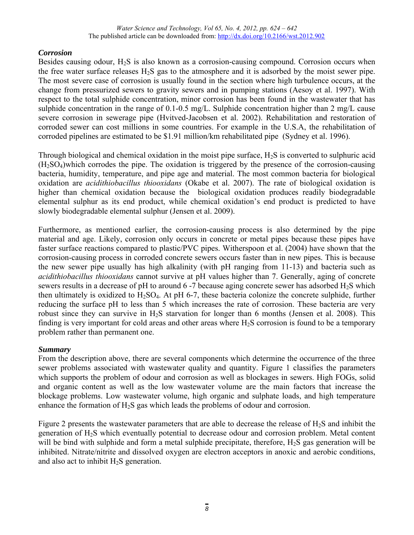## *Corrosion*

Besides causing odour,  $H_2S$  is also known as a corrosion-causing compound. Corrosion occurs when the free water surface releases  $H_2S$  gas to the atmosphere and it is adsorbed by the moist sewer pipe. The most severe case of corrosion is usually found in the section where high turbulence occurs, at the change from pressurized sewers to gravity sewers and in pumping stations (Aesoy et al. 1997). With respect to the total sulphide concentration, minor corrosion has been found in the wastewater that has sulphide concentration in the range of 0.1-0.5 mg/L. Sulphide concentration higher than 2 mg/L cause severe corrosion in sewerage pipe (Hvitved-Jacobsen et al. 2002). Rehabilitation and restoration of corroded sewer can cost millions in some countries. For example in the U.S.A, the rehabilitation of corroded pipelines are estimated to be \$1.91 million/km rehabilitated pipe (Sydney et al. 1996).

Through biological and chemical oxidation in the moist pipe surface, H2S is converted to sulphuric acid  $(H<sub>2</sub>SO<sub>4</sub>)$  which corrodes the pipe. The oxidation is triggered by the presence of the corrosion-causing bacteria, humidity, temperature, and pipe age and material. The most common bacteria for biological oxidation are *acidithiobacillus thiooxidans* (Okabe et al. 2007). The rate of biological oxidation is higher than chemical oxidation because the biological oxidation produces readily biodegradable elemental sulphur as its end product, while chemical oxidation's end product is predicted to have slowly biodegradable elemental sulphur (Jensen et al. 2009).

Furthermore, as mentioned earlier, the corrosion-causing process is also determined by the pipe material and age. Likely, corrosion only occurs in concrete or metal pipes because these pipes have faster surface reactions compared to plastic/PVC pipes. Witherspoon et al. (2004) have shown that the corrosion-causing process in corroded concrete sewers occurs faster than in new pipes. This is because the new sewer pipe usually has high alkalinity (with pH ranging from 11-13) and bacteria such as *acidithiobacillus thiooxidans* cannot survive at pH values higher than 7. Generally, aging of concrete sewers results in a decrease of pH to around 6-7 because aging concrete sewer has adsorbed  $H_2S$  which then ultimately is oxidized to  $H_2SO_4$ . At pH 6-7, these bacteria colonize the concrete sulphide, further reducing the surface pH to less than 5 which increases the rate of corrosion. These bacteria are very robust since they can survive in  $H_2S$  starvation for longer than 6 months (Jensen et al. 2008). This finding is very important for cold areas and other areas where  $H_2S$  corrosion is found to be a temporary problem rather than permanent one.

## *Summary*

From the description above, there are several components which determine the occurrence of the three sewer problems associated with wastewater quality and quantity. Figure 1 classifies the parameters which supports the problem of odour and corrosion as well as blockages in sewers. High FOGs, solid and organic content as well as the low wastewater volume are the main factors that increase the blockage problems. Low wastewater volume, high organic and sulphate loads, and high temperature enhance the formation of  $H_2S$  gas which leads the problems of odour and corrosion.

Figure 2 presents the wastewater parameters that are able to decrease the release of  $H_2S$  and inhibit the generation of H2S which eventually potential to decrease odour and corrosion problem. Metal content will be bind with sulphide and form a metal sulphide precipitate, therefore,  $H_2S$  gas generation will be inhibited. Nitrate/nitrite and dissolved oxygen are electron acceptors in anoxic and aerobic conditions, and also act to inhibit  $H_2S$  generation.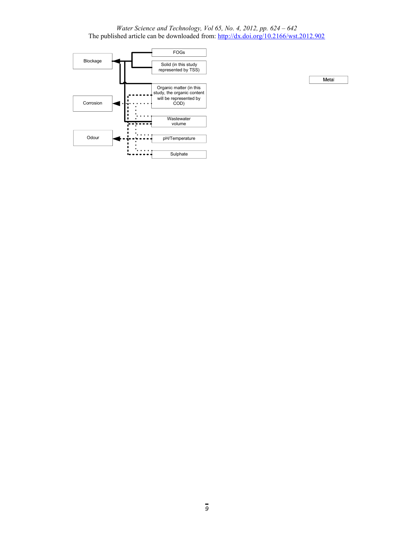

Metal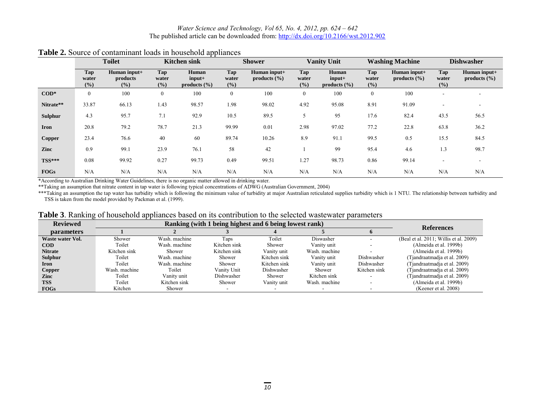|                  |                     | <b>Toilet</b>                   |                                   | <b>Kitchen sink</b>                   | <b>Shower</b>              |                                  | <b>Vanity Unit</b>    |                                       | <b>Washing Machine</b> |                                  | <b>Dishwasher</b>   |                                  |
|------------------|---------------------|---------------------------------|-----------------------------------|---------------------------------------|----------------------------|----------------------------------|-----------------------|---------------------------------------|------------------------|----------------------------------|---------------------|----------------------------------|
|                  | Tap<br>water<br>(%) | Human input+<br>products<br>(%) | Tap<br>water<br>(° <sub>0</sub> ) | Human<br>$input+$<br>products $(\% )$ | <b>Tap</b><br>water<br>(%) | Human input+<br>products $(\% )$ | Tap<br>water<br>(9/0) | Human<br>$input+$<br>products $(\% )$ | Tap<br>water<br>(%)    | Human input+<br>products $(\% )$ | Tap<br>water<br>(%) | Human input+<br>products $(\% )$ |
| $\mathbf{COD}^*$ | $\mathbf{0}$        | 100                             | $\overline{0}$                    | 100                                   | $\mathbf{0}$               | 100                              | $\mathbf{0}$          | 100                                   | $\mathbf{0}$           | 100                              |                     |                                  |
| Nitrate**        | 33.87               | 66.13                           | 1.43                              | 98.57                                 | 1.98                       | 98.02                            | 4.92                  | 95.08                                 | 8.91                   | 91.09                            |                     |                                  |
| <b>Sulphur</b>   | 4.3                 | 95.7                            | 7.1                               | 92.9                                  | 10.5                       | 89.5                             | C                     | 95                                    | 17.6                   | 82.4                             | 43.5                | 56.5                             |
| Iron             | 20.8                | 79.2                            | 78.7                              | 21.3                                  | 99.99                      | 0.01                             | 2.98                  | 97.02                                 | 77.2                   | 22.8                             | 63.8                | 36.2                             |
| Copper           | 23.4                | 76.6                            | 40                                | 60                                    | 89.74                      | 10.26                            | 8.9                   | 91.1                                  | 99.5                   | 0.5                              | 15.5                | 84.5                             |
| Zinc             | 0.9                 | 99.1                            | 23.9                              | 76.1                                  | 58                         | 42                               |                       | 99                                    | 95.4                   | 4.6                              | $\overline{.}3$     | 98.7                             |
| $TSS***$         | 0.08                | 99.92                           | 0.27                              | 99.73                                 | 0.49                       | 99.51                            | 1.27                  | 98.73                                 | 0.86                   | 99.14                            |                     |                                  |
| <b>FOGs</b>      | N/A                 | N/A                             | N/A                               | N/A                                   | N/A                        | N/A                              | N/A                   | N/A                                   | N/A                    | N/A                              | N/A                 | N/A                              |

## **Table 2.** Source of contaminant loads in household appliances

\*According to Australian Drinking Water Guidelines, there is no organic matter allowed in drinking water.

\*\*Taking an assumption that nitrate content in tap water is following typical concentrations of ADWG (Australian Government, 2004)

\*\*\*Taking an assumption the tap water has turbidity which is following the minimum value of turbidity at major Australian reticulated supplies turbidity which is 1 NTU. The relationship between turbidity and \*\*\*Taking an a TSS is taken from the model provided by Packman et al. (1999).

|  | <b>Table 3</b> . Ranking of household appliances based on its contribution to the selected wastewater parameters |  |  |  |  |
|--|------------------------------------------------------------------------------------------------------------------|--|--|--|--|
|  |                                                                                                                  |  |  |  |  |

| <b>Reviewed</b>   |               | <b>References</b> |              |              |               |              |                                        |
|-------------------|---------------|-------------------|--------------|--------------|---------------|--------------|----------------------------------------|
| <b>parameters</b> |               |                   |              |              |               |              |                                        |
| Waste water Vol.  | Shower        | Wash, machine     | Taps         | Toilet       | Diswasher     |              | (Beal et al. 2011; Willis et al. 2009) |
| <b>COD</b>        | Toilet        | Wash, machine     | Kitchen sink | Shower       | Vanity unit   |              | (Almeida et al. 1999b)                 |
| <b>Nitrate</b>    | Kitchen sink  | Shower            | Kitchen sink | Vanity unit  | Wash, machine |              | (Almeida et al. 1999b)                 |
| Sulphur           | Toilet        | Wash, machine     | Shower       | Kitchen sink | Vanity unit   | Dishwasher   | (Tjandraatmadja et al. 2009)           |
| Iron              | Toilet        | Wash, machine     | Shower       | Kitchen sink | Vanity unit   | Dishwasher   | (Tiandraatmadia et al. 2009)           |
| Copper            | Wash, machine | Toilet            | Vanity Unit  | Dishwasher   | Shower        | Kitchen sink | (Tjandraatmadja et al. 2009)           |
| Zinc              | Toilet        | Vanity unit       | Dishwasher   | Shower       | Kitchen sink  |              | (Tjandraatmadja et al. 2009)           |
| <b>TSS</b>        | Toilet        | Kitchen sink      | Shower       | Vanity unit  | Wash, machine |              | (Almeida et al. 1999b)                 |
| <b>FOGs</b>       | Kitchen       | Shower            |              |              |               |              | (Keener et al. 2008)                   |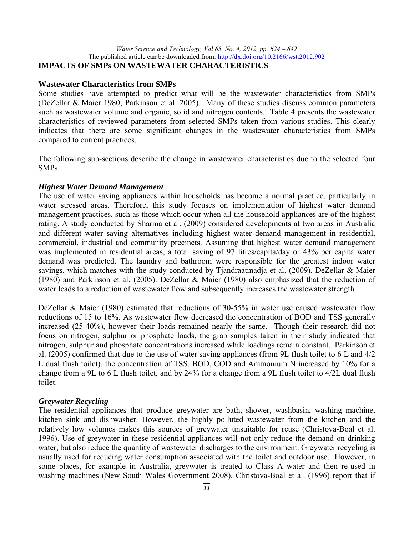#### *Water Science and Technology, Vol 65, No. 4, 2012, pp. 624 – 642* The published article can be downloaded from: http://dx.doi.org/10.2166/wst.2012.902 **IMPACTS OF SMPs ON WASTEWATER CHARACTERISTICS**

#### **Wastewater Characteristics from SMPs**

Some studies have attempted to predict what will be the wastewater characteristics from SMPs (DeZellar & Maier 1980; Parkinson et al. 2005). Many of these studies discuss common parameters such as wastewater volume and organic, solid and nitrogen contents. Table 4 presents the wastewater characteristics of reviewed parameters from selected SMPs taken from various studies. This clearly indicates that there are some significant changes in the wastewater characteristics from SMPs compared to current practices.

The following sub-sections describe the change in wastewater characteristics due to the selected four SMPs.

#### *Highest Water Demand Management*

The use of water saving appliances within households has become a normal practice, particularly in water stressed areas. Therefore, this study focuses on implementation of highest water demand management practices, such as those which occur when all the household appliances are of the highest rating. A study conducted by Sharma et al. (2009) considered developments at two areas in Australia and different water saving alternatives including highest water demand management in residential, commercial, industrial and community precincts. Assuming that highest water demand management was implemented in residential areas, a total saving of 97 litres/capita/day or 43% per capita water demand was predicted. The laundry and bathroom were responsible for the greatest indoor water savings, which matches with the study conducted by Tjandraatmadja et al. (2009), DeZellar & Maier (1980) and Parkinson et al. (2005). DeZellar & Maier (1980) also emphasized that the reduction of water leads to a reduction of wastewater flow and subsequently increases the wastewater strength.

DeZellar & Maier (1980) estimated that reductions of 30-55% in water use caused wastewater flow reductions of 15 to 16%. As wastewater flow decreased the concentration of BOD and TSS generally increased (25-40%), however their loads remained nearly the same. Though their research did not focus on nitrogen, sulphur or phosphate loads, the grab samples taken in their study indicated that nitrogen, sulphur and phosphate concentrations increased while loadings remain constant. Parkinson et al. (2005) confirmed that due to the use of water saving appliances (from 9L flush toilet to 6 L and 4/2 L dual flush toilet), the concentration of TSS, BOD, COD and Ammonium N increased by 10% for a change from a 9L to 6 L flush toilet, and by 24% for a change from a 9L flush toilet to 4/2L dual flush toilet.

#### *Greywater Recycling*

The residential appliances that produce greywater are bath, shower, washbasin, washing machine, kitchen sink and dishwasher. However, the highly polluted wastewater from the kitchen and the relatively low volumes makes this sources of greywater unsuitable for reuse (Christova-Boal et al. 1996). Use of greywater in these residential appliances will not only reduce the demand on drinking water, but also reduce the quantity of wastewater discharges to the environment. Greywater recycling is usually used for reducing water consumption associated with the toilet and outdoor use. However, in some places, for example in Australia, greywater is treated to Class A water and then re-used in washing machines (New South Wales Government 2008). Christova-Boal et al. (1996) report that if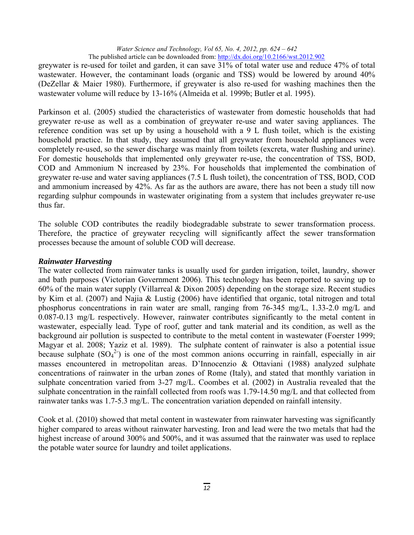greywater is re-used for toilet and garden, it can save 31% of total water use and reduce 47% of total wastewater. However, the contaminant loads (organic and TSS) would be lowered by around 40% (DeZellar & Maier 1980). Furthermore, if greywater is also re-used for washing machines then the wastewater volume will reduce by 13-16% (Almeida et al. 1999b; Butler et al. 1995).

Parkinson et al. (2005) studied the characteristics of wastewater from domestic households that had greywater re-use as well as a combination of greywater re-use and water saving appliances. The reference condition was set up by using a household with a 9 L flush toilet, which is the existing household practice. In that study, they assumed that all greywater from household appliances were completely re-used, so the sewer discharge was mainly from toilets (excreta, water flushing and urine). For domestic households that implemented only greywater re-use, the concentration of TSS, BOD, COD and Ammonium N increased by 23%. For households that implemented the combination of greywater re-use and water saving appliances (7.5 L flush toilet), the concentration of TSS, BOD, COD and ammonium increased by 42%. As far as the authors are aware, there has not been a study till now regarding sulphur compounds in wastewater originating from a system that includes greywater re-use thus far.

The soluble COD contributes the readily biodegradable substrate to sewer transformation process. Therefore, the practice of greywater recycling will significantly affect the sewer transformation processes because the amount of soluble COD will decrease.

#### *Rainwater Harvesting*

The water collected from rainwater tanks is usually used for garden irrigation, toilet, laundry, shower and bath purposes (Victorian Government 2006). This technology has been reported to saving up to 60% of the main water supply (Villarreal & Dixon 2005) depending on the storage size. Recent studies by Kim et al. (2007) and Najia & Lustig (2006) have identified that organic, total nitrogen and total phosphorus concentrations in rain water are small, ranging from 76-345 mg/L, 1.33-2.0 mg/L and 0.087-0.13 mg/L respectively. However, rainwater contributes significantly to the metal content in wastewater, especially lead. Type of roof, gutter and tank material and its condition, as well as the background air pollution is suspected to contribute to the metal content in wastewater (Foerster 1999; Magyar et al. 2008; Yaziz et al. 1989). The sulphate content of rainwater is also a potential issue because sulphate  $(SO<sub>4</sub><sup>2</sup>)$  is one of the most common anions occurring in rainfall, especially in air masses encountered in metropolitan areas. D'Innocenzio & Ottaviani (1988) analyzed sulphate concentrations of rainwater in the urban zones of Rome (Italy), and stated that monthly variation in sulphate concentration varied from 3-27 mg/L. Coombes et al. (2002) in Australia revealed that the sulphate concentration in the rainfall collected from roofs was 1.79-14.50 mg/L and that collected from rainwater tanks was 1.7-5.3 mg/L. The concentration variation depended on rainfall intensity.

Cook et al. (2010) showed that metal content in wastewater from rainwater harvesting was significantly higher compared to areas without rainwater harvesting. Iron and lead were the two metals that had the highest increase of around 300% and 500%, and it was assumed that the rainwater was used to replace the potable water source for laundry and toilet applications.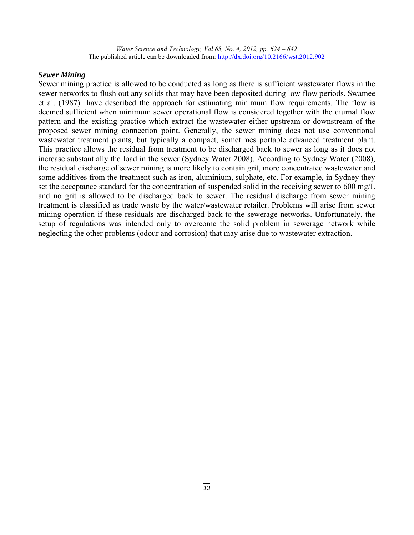#### *Sewer Mining*

Sewer mining practice is allowed to be conducted as long as there is sufficient wastewater flows in the sewer networks to flush out any solids that may have been deposited during low flow periods. Swamee et al. (1987) have described the approach for estimating minimum flow requirements. The flow is deemed sufficient when minimum sewer operational flow is considered together with the diurnal flow pattern and the existing practice which extract the wastewater either upstream or downstream of the proposed sewer mining connection point. Generally, the sewer mining does not use conventional wastewater treatment plants, but typically a compact, sometimes portable advanced treatment plant. This practice allows the residual from treatment to be discharged back to sewer as long as it does not increase substantially the load in the sewer (Sydney Water 2008). According to Sydney Water (2008), the residual discharge of sewer mining is more likely to contain grit, more concentrated wastewater and some additives from the treatment such as iron, aluminium, sulphate, etc. For example, in Sydney they set the acceptance standard for the concentration of suspended solid in the receiving sewer to 600 mg/L and no grit is allowed to be discharged back to sewer. The residual discharge from sewer mining treatment is classified as trade waste by the water/wastewater retailer. Problems will arise from sewer mining operation if these residuals are discharged back to the sewerage networks. Unfortunately, the setup of regulations was intended only to overcome the solid problem in sewerage network while neglecting the other problems (odour and corrosion) that may arise due to wastewater extraction.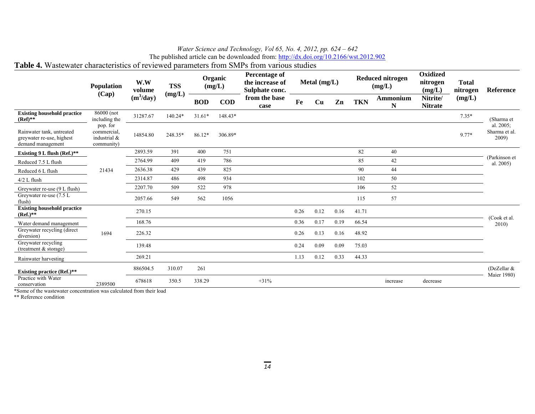The published article can be downloaded from: http://dx.doi.org/10.2166/wst.2012.902

## **Table 4.** Wastewater characteristics of reviewed parameters from SMPs from various studies

|                                                                             | <b>Population</b>                                       | W.W<br>volume | <b>TSS</b> |            | Organic<br>(mg/L) | <b>Percentage of</b><br>the increase of<br>Sulphate conc. |      | Metal $(mg/L)$ |               |            | <b>Reduced nitrogen</b><br>(mg/L) | Oxidized<br>nitrogen<br>(mg/L) | <b>Total</b><br>nitrogen | <b>Reference</b>                    |
|-----------------------------------------------------------------------------|---------------------------------------------------------|---------------|------------|------------|-------------------|-----------------------------------------------------------|------|----------------|---------------|------------|-----------------------------------|--------------------------------|--------------------------|-------------------------------------|
|                                                                             | (Cap)                                                   | $(m^3/day)$   | (mg/L)     | <b>BOD</b> | <b>COD</b>        | from the base<br>case                                     | Fe   | Cu             | $\mathbf{Zn}$ | <b>TKN</b> | <b>Ammonium</b><br>N              | Nitrite/<br><b>Nitrate</b>     | (mg/L)                   |                                     |
| <b>Existing household practice</b><br>$(Ref)**$                             | 86000 (not<br>including the                             | 31287.67      | 140.24*    | $31.61*$   | 148.43*           |                                                           |      |                |               |            |                                   |                                | $7.35*$                  | (Sharma et                          |
| Rainwater tank, untreated<br>greywater re-use, highest<br>demand management | pop. for<br>commercial.<br>industrial $&$<br>community) | 14854.80      | 248.35*    | 86.12*     | 306.89*           |                                                           |      |                |               |            |                                   |                                | 9.77*                    | al. 2005;<br>Sharma et al.<br>2009) |
| Existing 9 L flush (Ref.)**                                                 |                                                         | 2893.59       | 391        | 400        | 751               |                                                           |      |                |               | 82         | 40                                |                                |                          |                                     |
| Reduced 7.5 L flush                                                         |                                                         | 2764.99       | 409        | 419        | 786               |                                                           |      |                |               | 85         | 42                                |                                |                          | (Parkinson et<br>al. 2005)          |
| Reduced 6 L flush                                                           | 21434                                                   | 2636.38       | 429        | 439        | 825               |                                                           |      |                |               | 90         | 44                                |                                |                          |                                     |
| $4/2$ L flush                                                               |                                                         | 2314.87       | 486        | 498        | 934               |                                                           |      |                |               | 102        | 50                                |                                |                          |                                     |
| Greywater re-use (9 L flush)                                                |                                                         | 2207.70       | 509        | 522        | 978               |                                                           |      |                |               | 106        | 52                                |                                |                          |                                     |
| Greywater re-use (7.5 L<br>flush)                                           |                                                         | 2057.66       | 549        | 562        | 1056              |                                                           |      |                |               | 115        | 57                                |                                |                          |                                     |
| <b>Existing household practice</b><br>$(Ref.)^{**}$                         |                                                         | 270.15        |            |            |                   |                                                           | 0.26 | 0.12           | 0.16          | 41.71      |                                   |                                |                          | (Cook et al.                        |
| Water demand management                                                     |                                                         | 168.76        |            |            |                   |                                                           | 0.36 | 0.17           | 0.19          | 66.54      |                                   |                                |                          | 2010                                |
| Greywater recycling (direct<br>diversion)                                   | 1694                                                    | 226.32        |            |            |                   |                                                           | 0.26 | 0.13           | 0.16          | 48.92      |                                   |                                |                          |                                     |
| Greywater recycling<br>(treatment $&$ storage)                              |                                                         | 139.48        |            |            |                   |                                                           | 0.24 | 0.09           | 0.09          | 75.03      |                                   |                                |                          |                                     |
| Rainwater harvesting                                                        |                                                         | 269.21        |            |            |                   |                                                           | 1.13 | 0.12           | 0.33          | 44.33      |                                   |                                |                          |                                     |
| <b>Existing practice (Ref.)**</b>                                           |                                                         | 886504.5      | 310.07     | 261        |                   |                                                           |      |                |               |            |                                   |                                |                          | (DeZellar &<br>Maier 1980)          |
| Practice with Water<br>conservation                                         | 2389500                                                 | 678618        | 350.5      | 338.29     |                   | $+31%$                                                    |      |                |               |            | increase                          | decrease                       |                          |                                     |

\*Some of the wastewater concentration was calculated from their load

\*\* Reference condition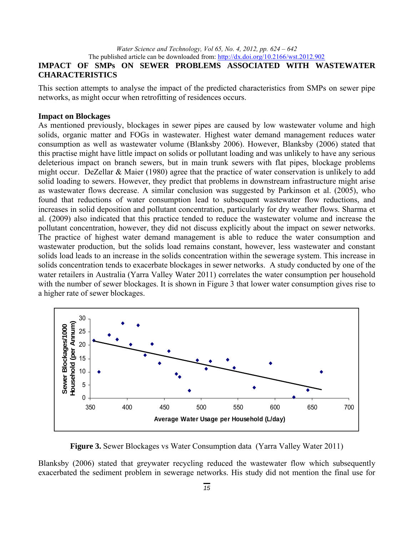## **IMPACT OF SMPs ON SEWER PROBLEMS ASSOCIATED WITH WASTEWATER CHARACTERISTICS**

This section attempts to analyse the impact of the predicted characteristics from SMPs on sewer pipe networks, as might occur when retrofitting of residences occurs.

#### **Impact on Blockages**

As mentioned previously, blockages in sewer pipes are caused by low wastewater volume and high solids, organic matter and FOGs in wastewater. Highest water demand management reduces water consumption as well as wastewater volume (Blanksby 2006). However, Blanksby (2006) stated that this practise might have little impact on solids or pollutant loading and was unlikely to have any serious deleterious impact on branch sewers, but in main trunk sewers with flat pipes, blockage problems might occur. DeZellar & Maier (1980) agree that the practice of water conservation is unlikely to add solid loading to sewers. However, they predict that problems in downstream infrastructure might arise as wastewater flows decrease. A similar conclusion was suggested by Parkinson et al. (2005), who found that reductions of water consumption lead to subsequent wastewater flow reductions, and increases in solid deposition and pollutant concentration, particularly for dry weather flows. Sharma et al. (2009) also indicated that this practice tended to reduce the wastewater volume and increase the pollutant concentration, however, they did not discuss explicitly about the impact on sewer networks. The practice of highest water demand management is able to reduce the water consumption and wastewater production, but the solids load remains constant, however, less wastewater and constant solids load leads to an increase in the solids concentration within the sewerage system. This increase in solids concentration tends to exacerbate blockages in sewer networks. A study conducted by one of the water retailers in Australia (Yarra Valley Water 2011) correlates the water consumption per household with the number of sewer blockages. It is shown in Figure 3 that lower water consumption gives rise to a higher rate of sewer blockages.



**Figure 3.** Sewer Blockages vs Water Consumption data (Yarra Valley Water 2011)

Blanksby (2006) stated that greywater recycling reduced the wastewater flow which subsequently exacerbated the sediment problem in sewerage networks. His study did not mention the final use for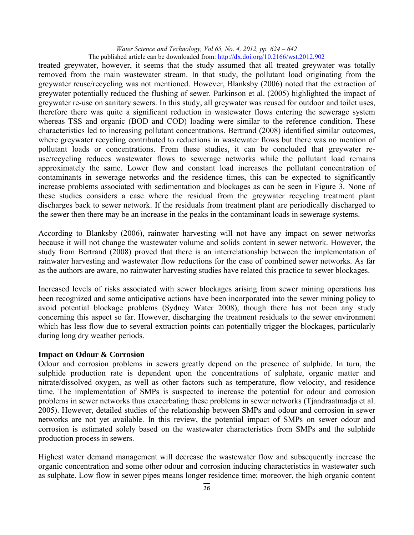treated greywater, however, it seems that the study assumed that all treated greywater was totally removed from the main wastewater stream. In that study, the pollutant load originating from the greywater reuse/recycling was not mentioned. However, Blanksby (2006) noted that the extraction of greywater potentially reduced the flushing of sewer. Parkinson et al. (2005) highlighted the impact of greywater re-use on sanitary sewers. In this study, all greywater was reused for outdoor and toilet uses, therefore there was quite a significant reduction in wastewater flows entering the sewerage system whereas TSS and organic (BOD and COD) loading were similar to the reference condition. These characteristics led to increasing pollutant concentrations. Bertrand (2008) identified similar outcomes, where greywater recycling contributed to reductions in wastewater flows but there was no mention of pollutant loads or concentrations. From these studies, it can be concluded that greywater reuse/recycling reduces wastewater flows to sewerage networks while the pollutant load remains approximately the same. Lower flow and constant load increases the pollutant concentration of contaminants in sewerage networks and the residence times, this can be expected to significantly increase problems associated with sedimentation and blockages as can be seen in Figure 3. None of these studies considers a case where the residual from the greywater recycling treatment plant discharges back to sewer network. If the residuals from treatment plant are periodically discharged to the sewer then there may be an increase in the peaks in the contaminant loads in sewerage systems.

According to Blanksby (2006), rainwater harvesting will not have any impact on sewer networks because it will not change the wastewater volume and solids content in sewer network. However, the study from Bertrand (2008) proved that there is an interrelationship between the implementation of rainwater harvesting and wastewater flow reductions for the case of combined sewer networks. As far as the authors are aware, no rainwater harvesting studies have related this practice to sewer blockages.

Increased levels of risks associated with sewer blockages arising from sewer mining operations has been recognized and some anticipative actions have been incorporated into the sewer mining policy to avoid potential blockage problems (Sydney Water 2008), though there has not been any study concerning this aspect so far. However, discharging the treatment residuals to the sewer environment which has less flow due to several extraction points can potentially trigger the blockages, particularly during long dry weather periods.

#### **Impact on Odour & Corrosion**

Odour and corrosion problems in sewers greatly depend on the presence of sulphide. In turn, the sulphide production rate is dependent upon the concentrations of sulphate, organic matter and nitrate/dissolved oxygen, as well as other factors such as temperature, flow velocity, and residence time. The implementation of SMPs is suspected to increase the potential for odour and corrosion problems in sewer networks thus exacerbating these problems in sewer networks (Tjandraatmadja et al. 2005). However, detailed studies of the relationship between SMPs and odour and corrosion in sewer networks are not yet available. In this review, the potential impact of SMPs on sewer odour and corrosion is estimated solely based on the wastewater characteristics from SMPs and the sulphide production process in sewers.

Highest water demand management will decrease the wastewater flow and subsequently increase the organic concentration and some other odour and corrosion inducing characteristics in wastewater such as sulphate. Low flow in sewer pipes means longer residence time; moreover, the high organic content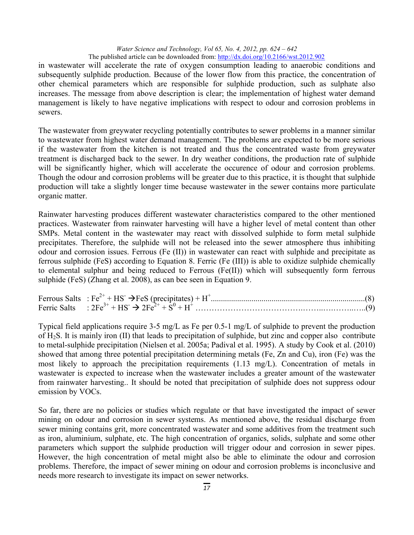in wastewater will accelerate the rate of oxygen consumption leading to anaerobic conditions and subsequently sulphide production. Because of the lower flow from this practice, the concentration of other chemical parameters which are responsible for sulphide production, such as sulphate also increases. The message from above description is clear; the implementation of highest water demand management is likely to have negative implications with respect to odour and corrosion problems in sewers.

The wastewater from greywater recycling potentially contributes to sewer problems in a manner similar to wastewater from highest water demand management. The problems are expected to be more serious if the wastewater from the kitchen is not treated and thus the concentrated waste from greywater treatment is discharged back to the sewer. In dry weather conditions, the production rate of sulphide will be significantly higher, which will accelerate the occurence of odour and corrosion problems*.* Though the odour and corrosion problems will be greater due to this practice, it is thought that sulphide production will take a slightly longer time because wastewater in the sewer contains more particulate organic matter.

Rainwater harvesting produces different wastewater characteristics compared to the other mentioned practices. Wastewater from rainwater harvesting will have a higher level of metal content than other SMPs. Metal content in the wastewater may react with dissolved sulphide to form metal sulphide precipitates. Therefore, the sulphide will not be released into the sewer atmosphere thus inhibiting odour and corrosion issues. Ferrous (Fe (II)) in wastewater can react with sulphide and precipitate as ferrous sulphide (FeS) according to Equation 8. Ferric (Fe (III)) is able to oxidize sulphide chemically to elemental sulphur and being reduced to Ferrous (Fe(II)) which will subsequently form ferrous sulphide (FeS) (Zhang et al. 2008), as can bee seen in Equation 9.

| Ferric Salts : $2Fe^{3+} + HS \rightarrow 2Fe^{2+} + S^0 + H^+$ |  |
|-----------------------------------------------------------------|--|

Typical field applications require 3-5 mg/L as Fe per 0.5-1 mg/L of sulphide to prevent the production of H2S. It is mainly iron (II) that leads to precipitation of sulphide, but zinc and copper also contribute to metal-sulphide precipitation (Nielsen et al. 2005a; Padival et al. 1995). A study by Cook et al. (2010) showed that among three potential precipitation determining metals (Fe, Zn and Cu), iron (Fe) was the most likely to approach the precipitation requirements (1.13 mg/L). Concentration of metals in wastewater is expected to increase when the wastewater includes a greater amount of the wastewater from rainwater harvesting.. It should be noted that precipitation of sulphide does not suppress odour emission by VOCs.

So far, there are no policies or studies which regulate or that have investigated the impact of sewer mining on odour and corrosion in sewer systems. As mentioned above, the residual discharge from sewer mining contains grit, more concentrated wastewater and some additives from the treatment such as iron, aluminium, sulphate, etc. The high concentration of organics, solids, sulphate and some other parameters which support the sulphide production will trigger odour and corrosion in sewer pipes. However, the high concentration of metal might also be able to eliminate the odour and corrosion problems. Therefore, the impact of sewer mining on odour and corrosion problems is inconclusive and needs more research to investigate its impact on sewer networks.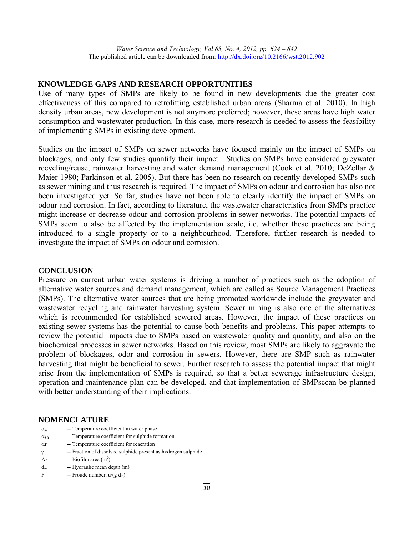#### **KNOWLEDGE GAPS AND RESEARCH OPPORTUNITIES**

Use of many types of SMPs are likely to be found in new developments due the greater cost effectiveness of this compared to retrofitting established urban areas (Sharma et al. 2010). In high density urban areas, new development is not anymore preferred; however, these areas have high water consumption and wastewater production. In this case, more research is needed to assess the feasibility of implementing SMPs in existing development.

Studies on the impact of SMPs on sewer networks have focused mainly on the impact of SMPs on blockages, and only few studies quantify their impact. Studies on SMPs have considered greywater recycling/reuse, rainwater harvesting and water demand management (Cook et al. 2010; DeZellar & Maier 1980; Parkinson et al. 2005). But there has been no research on recently developed SMPs such as sewer mining and thus research is required. The impact of SMPs on odour and corrosion has also not been investigated yet. So far, studies have not been able to clearly identify the impact of SMPs on odour and corrosion. In fact, according to literature, the wastewater characteristics from SMPs practice might increase or decrease odour and corrosion problems in sewer networks. The potential impacts of SMPs seem to also be affected by the implementation scale, i.e. whether these practices are being introduced to a single property or to a neighbourhood. Therefore, further research is needed to investigate the impact of SMPs on odour and corrosion.

#### **CONCLUSION**

Pressure on current urban water systems is driving a number of practices such as the adoption of alternative water sources and demand management, which are called as Source Management Practices (SMPs). The alternative water sources that are being promoted worldwide include the greywater and wastewater recycling and rainwater harvesting system. Sewer mining is also one of the alternatives which is recommended for established sewered areas. However, the impact of these practices on existing sewer systems has the potential to cause both benefits and problems. This paper attempts to review the potential impacts due to SMPs based on wastewater quality and quantity, and also on the biochemical processes in sewer networks. Based on this review, most SMPs are likely to aggravate the problem of blockages, odor and corrosion in sewers. However, there are SMP such as rainwater harvesting that might be beneficial to sewer. Further research to assess the potential impact that might arise from the implementation of SMPs is required, so that a better sewerage infrastructure design, operation and maintenance plan can be developed, and that implementation of SMPsccan be planned with better understanding of their implications.

#### **NOMENCLATURE**

- $\alpha_w$  -- Temperature coefficient in water phase
- $\alpha_{\text{Sff}}$  -- Temperature coefficient for sulphide formation
- $\alpha r$  -- Temperature coefficient for reaeration
- $\gamma$  -- Fraction of dissolved sulphide present as hydrogen sulphide
- $A_f$  -- Biofilm area (m<sup>2</sup>)
- $d_m$  -- Hydraulic mean depth  $(m)$
- F -- Froude number,  $u/(g d<sub>m</sub>)$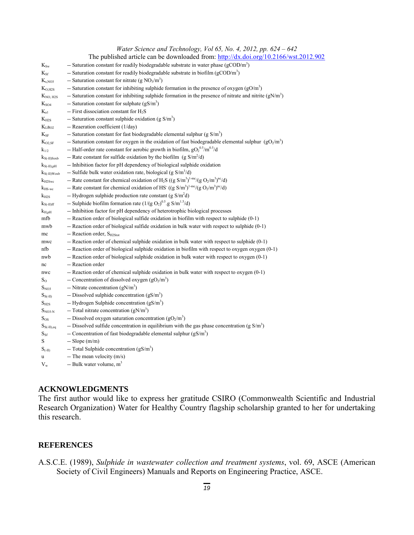|                                | The published article can be downloaded from: http://dx.doi.org/10.2166/wst.2012.902                                                                      |
|--------------------------------|-----------------------------------------------------------------------------------------------------------------------------------------------------------|
| $K_{\text{Sw}}$                | -- Saturation constant for readily biodegradable substrate in water phase $(g\text{COD/m}^3)$                                                             |
| $K_{\rm Sf}$                   | -- Saturation constant for readily biodegradable substrate in biofilm (gCOD/m <sup>3</sup> )                                                              |
| $K_{s,NO3}$                    | -- Saturation constant for nitrate (g $NO3/m3$ )                                                                                                          |
| $K_{O, H2S}$                   | -- Saturation constant for inhibiting sulphide formation in the presence of oxygen $(gO/m3)$                                                              |
| $K_{NO, H2S}$                  | -- Saturation constant for inhibiting sulphide formation in the presence of nitrate and nitrite $(gN/m3)$                                                 |
| $K_{SO4}$                      | -- Saturation constant for sulphate $(gS/m3)$                                                                                                             |
| $K_{a1}$                       | -- First dissociation constant for $H_2S$                                                                                                                 |
| $K_{H2S}$                      | -- Saturation constant sulphide oxidation (g $S/m3$ )                                                                                                     |
| K <sub>L</sub> a <sub>O2</sub> | -- Reaeration coefficient (1/day)                                                                                                                         |
| $K_{SF}$                       | -- Saturation constant for fast biodegradable elemental sulphur (g $S/m3$ )                                                                               |
| $K_{O2,SF}$                    | -- Saturation constant for oxygen in the oxidation of fast biodegradable elemental sulphur $(gO2/m3)$                                                     |
| $k_{1/2}$                      | -- Half-order rate constant for aerobic growth in biofilm, $gO_2^{0.5}/m^{0.5}/d$                                                                         |
| $K_{S(-II)Soxb}$               | -- Rate constant for sulfide oxidation by the biofilm (g $S/m^2/d$ )                                                                                      |
| $k_{S(-II),pH}$                | -- Inhibition factor for pH dependency of biological sulphide oxidation                                                                                   |
| $k_{S(-II)Woxb}$               | -- Sulfide bulk water oxidation rate, biological (g $S/m^3/d$ )                                                                                           |
| $K_{H2Swc}$                    | -- Rate constant for chemical oxidation of H <sub>2</sub> S ((g S/m <sup>3</sup> ) <sup>1-mc</sup> /(g O <sub>2</sub> /m <sup>3</sup> ) <sup>nc</sup> /d) |
| $k_{\rm HS-wc}$                | -- Rate constant for chemical oxidation of HS $((g S/m3)1-mc/(g O2/m3)nc/d)$                                                                              |
| $k_{H2S}$                      | -- Hydrogen sulphide production rate constant (g $S/m2d$ )                                                                                                |
| $k_{S(-II)ff}$                 | -- Sulphide biofilm formation rate $(1/(g O2)0.5$ .g S/m <sup>1.5</sup> /d)                                                                               |
| $k_{H,pH}$                     | -- Inhibition factor for pH dependency of heterotrophic biological processes                                                                              |
| mfb                            | -- Reaction order of biological sulfide oxidation in biofilm with respect to sulphide (0-1)                                                               |
| mwb                            | -- Reaction order of biological sulfide oxidation in bulk water with respect to sulphide (0-1)                                                            |
| mc                             | -- Reaction order, S <sub>H2Stot</sub>                                                                                                                    |
| mwc                            | -- Reaction order of chemical sulphide oxidation in bulk water with respect to sulphide (0-1)                                                             |
| nfb                            | -- Reaction order of biological sulphide oxidation in biofilm with respect to oxygen oxygen (0-1)                                                         |
| nwb                            | -- Reaction order of biological sulphide oxidation in bulk water with respect to oxygen (0-1)                                                             |
| nc                             | -- Reaction order                                                                                                                                         |
| nwc                            | -- Reaction order of chemical sulphide oxidation in bulk water with respect to oxygen (0-1)                                                               |
| $S_{O}$                        | -- Concentration of dissolved oxygen $(gO2/m3)$                                                                                                           |
| $S_{NO3}$                      | -- Nitrate concentration $(gN/m3)$                                                                                                                        |
| $S_{S(-II)}$                   | -- Dissolved sulphide concentration $(gS/m3)$                                                                                                             |
| $S_{H2S}$                      | -- Hydrogen Sulphide concentration $(gS/m3)$                                                                                                              |
| $S_{NO3-N}$                    | -- Total nitrate concentration $(gN/m3)$                                                                                                                  |
| $S_{OS}$                       | -- Dissolved oxygen saturation concentration $(gO_2/m^3)$                                                                                                 |
| $S_{S(-II),eq}$                | -- Dissolved sulfide concentration in equilibrium with the gas phase concentration (g $S/m3$ )                                                            |
| $S_{\rm Sf}$                   | -- Concentration of fast biodegradable elemental sulphur $(gS/m3)$                                                                                        |
| S                              | $-$ Slope $(m/m)$                                                                                                                                         |
| $S_{(-II)}$                    | -- Total Sulphide concentration $(gS/m3)$                                                                                                                 |
| u                              | -- The mean velocity (m/s)                                                                                                                                |
| $V_{w}$                        | -- Bulk water volume, $m3$                                                                                                                                |

## **ACKNOWLEDGMENTS**

The first author would like to express her gratitude CSIRO (Commonwealth Scientific and Industrial Research Organization) Water for Healthy Country flagship scholarship granted to her for undertaking this research.

## **REFERENCES**

A.S.C.E. (1989), *Sulphide in wastewater collection and treatment systems*, vol. 69, ASCE (American Society of Civil Engineers) Manuals and Reports on Engineering Practice, ASCE.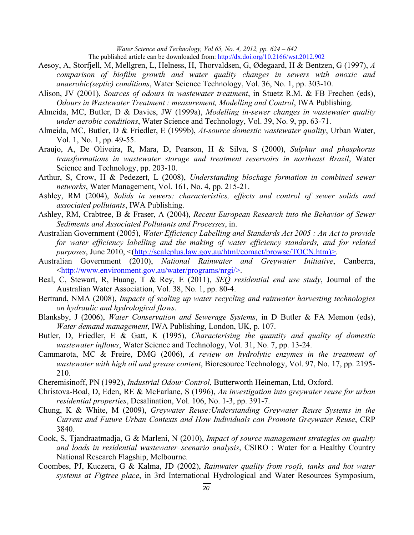The published article can be downloaded from: http://dx.doi.org/10.2166/wst.2012.902

- Aesoy, A, Storfjell, M, Mellgren, L, Helness, H, Thorvaldsen, G, Ødegaard, H & Bentzen, G (1997), *A comparison of biofilm growth and water quality changes in sewers with anoxic and anaerobic(septic) conditions*, Water Science Technology, Vol. 36, No. 1, pp. 303-10.
- Alison, JV (2001), *Sources of odours in wastewater treatment*, in Stuetz R.M. & FB Frechen (eds), *Odours in Wastewater Treatment : measurement, Modelling and Control*, IWA Publishing.
- Almeida, MC, Butler, D & Davies, JW (1999a), *Modelling in-sewer changes in wastewater quality under aerobic conditions*, Water Science and Technology, Vol. 39, No. 9, pp. 63-71.
- Almeida, MC, Butler, D & Friedler, E (1999b), *At-source domestic wastewater quality*, Urban Water, Vol. 1, No. 1, pp. 49-55.
- Araujo, A, De Oliveira, R, Mara, D, Pearson, H & Silva, S (2000), *Sulphur and phosphorus transformations in wastewater storage and treatment reservoirs in northeast Brazil*, Water Science and Technology, pp. 203-10.
- Arthur, S, Crow, H & Pedezert, L (2008), *Understanding blockage formation in combined sewer networks*, Water Management, Vol. 161, No. 4, pp. 215-21.
- Ashley, RM (2004), *Solids in sewers: characteristics, effects and control of sewer solids and associated pollutants*, IWA Publishing.
- Ashley, RM, Crabtree, B & Fraser, A (2004), *Recent European Research into the Behavior of Sewer Sediments and Associated Pollutants and Processes*, in.
- Australian Government (2005), *Water Efficiency Labelling and Standards Act 2005 : An Act to provide for water efficiency labelling and the making of water efficiency standards, and for related purposes*, June 2010, <(http://scaleplus.law.gov.au/html/comact/browse/TOCN.htm)>.
- Australian Government (2010), *National Rainwater and Greywater Initiative*, Canberra, <http://www.environment.gov.au/water/programs/nrgi/>.
- Beal, C, Stewart, R, Huang, T & Rey, E (2011), *SEQ residential end use study*, Journal of the Australian Water Association, Vol. 38, No. 1, pp. 80-4.
- Bertrand, NMA (2008), *Impacts of scaling up water recycling and rainwater harvesting technologies on hydraulic and hydrological flows*.
- Blanksby, J (2006), *Water Conservation and Sewerage Systems*, in D Butler & FA Memon (eds), *Water demand management*, IWA Publishing, London, UK, p. 107.
- Butler, D, Friedler, E & Gatt, K (1995), *Characterising the quantity and quality of domestic wastewater inflows*, Water Science and Technology, Vol. 31, No. 7, pp. 13-24.
- Cammarota, MC & Freire, DMG (2006), *A review on hydrolytic enzymes in the treatment of wastewater with high oil and grease content*, Bioresource Technology, Vol. 97, No. 17, pp. 2195- 210.
- Cheremisinoff, PN (1992), *Industrial Odour Control*, Butterworth Heineman, Ltd, Oxford.
- Christova-Boal, D, Eden, RE & McFarlane, S (1996), *An investigation into greywater reuse for urban residential properties*, Desalination, Vol. 106, No. 1-3, pp. 391-7.
- Chung, K & White, M (2009), *Greywater Reuse:Understanding Greywater Reuse Systems in the Current and Future Urban Contexts and How Individuals can Promote Greywater Reuse*, CRP 3840.
- Cook, S, Tjandraatmadja, G & Marleni, N (2010), *Impact of source management strategies on quality and loads in residential wastewater–scenario analysis*, CSIRO : Water for a Healthy Country National Research Flagship, Melbourne.
- Coombes, PJ, Kuczera, G & Kalma, JD (2002), *Rainwater quality from roofs, tanks and hot water systems at Figtree place*, in 3rd International Hydrological and Water Resources Symposium,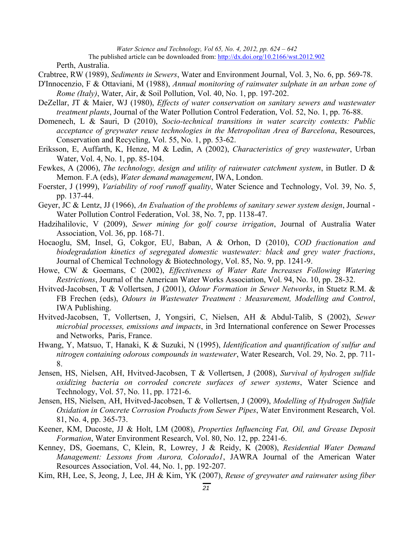The published article can be downloaded from: http://dx.doi.org/10.2166/wst.2012.902

Perth, Australia.

- Crabtree, RW (1989), *Sediments in Sewers*, Water and Environment Journal, Vol. 3, No. 6, pp. 569-78.
- D'Innocenzio, F & Ottaviani, M (1988), *Annual monitoring of rainwater sulphate in an urban zone of Rome (Italy)*, Water, Air, & Soil Pollution, Vol. 40, No. 1, pp. 197-202.
- DeZellar, JT & Maier, WJ (1980), *Effects of water conservation on sanitary sewers and wastewater treatment plants*, Journal of the Water Pollution Control Federation, Vol. 52, No. 1, pp. 76-88.
- Domenech, L & Sauri, D (2010), *Socio-technical transitions in water scarcity contexts: Public acceptance of greywater reuse technologies in the Metropolitan Area of Barcelona*, Resources, Conservation and Recycling, Vol. 55, No. 1, pp. 53-62.
- Eriksson, E, Auffarth, K, Henze, M & Ledin, A (2002), *Characteristics of grey wastewater*, Urban Water, Vol. 4, No. 1, pp. 85-104.
- Fewkes, A (2006), *The technology, design and utility of rainwater catchment system*, in Butler. D & Memon. F.A (eds), *Water demand management*, IWA, London.
- Foerster, J (1999), *Variability of roof runoff quality*, Water Science and Technology, Vol. 39, No. 5, pp. 137-44.
- Geyer, JC & Lentz, JJ (1966), *An Evaluation of the problems of sanitary sewer system design*, Journal Water Pollution Control Federation, Vol. 38, No. 7, pp. 1138-47.
- Hadzihalilovic, V (2009), *Sewer mining for golf course irrigation*, Journal of Australia Water Association, Vol. 36, pp. 168-71.
- Hocaoglu, SM, Insel, G, Cokgor, EU, Baban, A & Orhon, D (2010), *COD fractionation and biodegradation kinetics of segregated domestic wastewater: black and grey water fractions*, Journal of Chemical Technology & Biotechnology, Vol. 85, No. 9, pp. 1241-9.
- Howe, CW & Goemans, C (2002), *Effectiveness of Water Rate Increases Following Watering Restrictions*, Journal of the American Water Works Association, Vol. 94, No. 10, pp. 28-32.
- Hvitved-Jacobsen, T & Vollertsen, J (2001), *Odour Formation in Sewer Networks*, in Stuetz R.M. & FB Frechen (eds), *Odours in Wastewater Treatment : Measurement, Modelling and Control*, IWA Publishing.
- Hvitved-Jacobsen, T, Vollertsen, J, Yongsiri, C, Nielsen, AH & Abdul-Talib, S (2002), *Sewer microbial processes, emissions and impacts*, in 3rd International conference on Sewer Processes and Networks, Paris, France.
- Hwang, Y, Matsuo, T, Hanaki, K & Suzuki, N (1995), *Identification and quantification of sulfur and nitrogen containing odorous compounds in wastewater*, Water Research, Vol. 29, No. 2, pp. 711- 8.
- Jensen, HS, Nielsen, AH, Hvitved-Jacobsen, T & Vollertsen, J (2008), *Survival of hydrogen sulfide oxidizing bacteria on corroded concrete surfaces of sewer systems*, Water Science and Technology, Vol. 57, No. 11, pp. 1721-6.
- Jensen, HS, Nielsen, AH, Hvitved-Jacobsen, T & Vollertsen, J (2009), *Modelling of Hydrogen Sulfide Oxidation in Concrete Corrosion Products from Sewer Pipes*, Water Environment Research, Vol. 81, No. 4, pp. 365-73.
- Keener, KM, Ducoste, JJ & Holt, LM (2008), *Properties Influencing Fat, Oil, and Grease Deposit Formation*, Water Environment Research, Vol. 80, No. 12, pp. 2241-6.
- Kenney, DS, Goemans, C, Klein, R, Lowrey, J & Reidy, K (2008), *Residential Water Demand Management: Lessons from Aurora, Colorado1*, JAWRA Journal of the American Water Resources Association, Vol. 44, No. 1, pp. 192-207.
- Kim, RH, Lee, S, Jeong, J, Lee, JH & Kim, YK (2007), *Reuse of greywater and rainwater using fiber*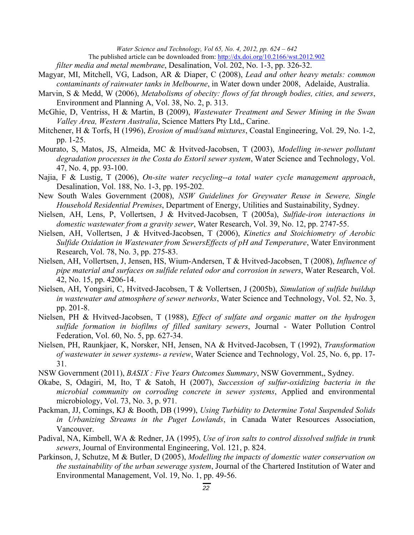*filter media and metal membrane*, Desalination, Vol. 202, No. 1-3, pp. 326-32.

- Magyar, MI, Mitchell, VG, Ladson, AR & Diaper, C (2008), *Lead and other heavy metals: common contaminants of rainwater tanks in Melbourne*, in Water down under 2008, Adelaide, Australia.
- Marvin, S & Medd, W (2006), *Metabolisms of obecity: flows of fat through bodies, cities, and sewers*, Environment and Planning A, Vol. 38, No. 2, p. 313.
- McGhie, D, Ventriss, H & Martin, B (2009), *Wastewater Treatment and Sewer Mining in the Swan Valley Area, Western Australia*, Science Matters Pty Ltd,, Carine.
- Mitchener, H & Torfs, H (1996), *Erosion of mud/sand mixtures*, Coastal Engineering, Vol. 29, No. 1-2, pp. 1-25.
- Mourato, S, Matos, JS, Almeida, MC & Hvitved-Jacobsen, T (2003), *Modelling in-sewer pollutant degradation processes in the Costa do Estoril sewer system*, Water Science and Technology, Vol. 47, No. 4, pp. 93-100.
- Najia, F & Lustig, T (2006), *On-site water recycling--a total water cycle management approach*, Desalination, Vol. 188, No. 1-3, pp. 195-202.
- New South Wales Government (2008), *NSW Guidelines for Greywater Reuse in Sewere, Single Household Residential Premises*, Department of Energy, Utilities and Sustainability, Sydney.
- Nielsen, AH, Lens, P, Vollertsen, J & Hvitved-Jacobsen, T (2005a), *Sulfide-iron interactions in domestic wastewater from a gravity sewer*, Water Research, Vol. 39, No. 12, pp. 2747-55.
- Nielsen, AH, Vollertsen, J & Hvitved-Jacobsen, T (2006), *Kinetics and Stoichiometry of Aerobic Sulfide Oxidation in Wastewater from SewersEffects of pH and Temperature*, Water Environment Research, Vol. 78, No. 3, pp. 275-83.
- Nielsen, AH, Vollertsen, J, Jensen, HS, Wium-Andersen, T & Hvitved-Jacobsen, T (2008), *Influence of pipe material and surfaces on sulfide related odor and corrosion in sewers*, Water Research, Vol. 42, No. 15, pp. 4206-14.
- Nielsen, AH, Yongsiri, C, Hvitved-Jacobsen, T & Vollertsen, J (2005b), *Simulation of sulfide buildup in wastewater and atmosphere of sewer networks*, Water Science and Technology, Vol. 52, No. 3, pp. 201-8.
- Nielsen, PH & Hvitved-Jacobsen, T (1988), *Effect of sulfate and organic matter on the hydrogen sulfide formation in biofilms of filled sanitary sewers*, Journal - Water Pollution Control Federation, Vol. 60, No. 5, pp. 627-34.
- Nielsen, PH, Raunkjaer, K, Norsker, NH, Jensen, NA & Hvitved-Jacobsen, T (1992), *Transformation of wastewater in sewer systems- a review*, Water Science and Technology, Vol. 25, No. 6, pp. 17- 31.
- NSW Government (2011), *BASIX : Five Years Outcomes Summary*, NSW Government,, Sydney.
- Okabe, S, Odagiri, M, Ito, T & Satoh, H (2007), *Succession of sulfur-oxidizing bacteria in the microbial community on corroding concrete in sewer systems*, Applied and environmental microbiology, Vol. 73, No. 3, p. 971.
- Packman, JJ, Comings, KJ & Booth, DB (1999), *Using Turbidity to Determine Total Suspended Solids in Urbanizing Streams in the Puget Lowlands*, in Canada Water Resources Association, Vancouver.
- Padival, NA, Kimbell, WA & Redner, JA (1995), *Use of iron salts to control dissolved sulfide in trunk sewers*, Journal of Environmental Engineering, Vol. 121, p. 824.
- Parkinson, J, Schutze, M & Butler, D (2005), *Modelling the impacts of domestic water conservation on the sustainability of the urban sewerage system*, Journal of the Chartered Institution of Water and Environmental Management, Vol. 19, No. 1, pp. 49-56.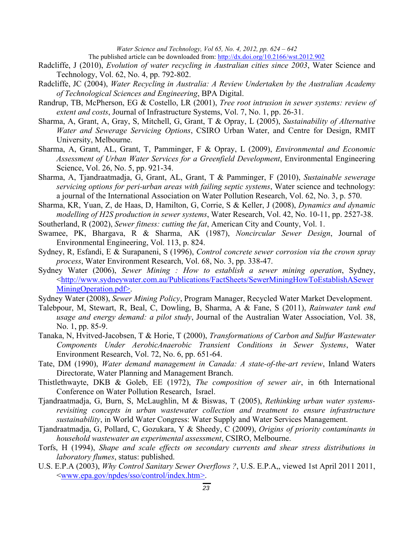The published article can be downloaded from: http://dx.doi.org/10.2166/wst.2012.902

- Radcliffe, J (2010), *Evolution of water recycling in Australian cities since 2003*, Water Science and Technology, Vol. 62, No. 4, pp. 792-802.
- Radcliffe, JC (2004), *Water Recycling in Australia: A Review Undertaken by the Australian Academy of Technological Sciences and Engineering*, BPA Digital.
- Randrup, TB, McPherson, EG & Costello, LR (2001), *Tree root intrusion in sewer systems: review of extent and costs*, Journal of Infrastructure Systems, Vol. 7, No. 1, pp. 26-31.
- Sharma, A, Grant, A, Gray, S, Mitchell, G, Grant, T & Opray, L (2005), *Sustainability of Alternative Water and Sewerage Servicing Options*, CSIRO Urban Water, and Centre for Design, RMIT University, Melbourne.
- Sharma, A, Grant, AL, Grant, T, Pamminger, F & Opray, L (2009), *Environmental and Economic Assessment of Urban Water Services for a Greenfield Development*, Environmental Engineering Science, Vol. 26, No. 5, pp. 921-34.
- Sharma, A, Tjandraatmadja, G, Grant, AL, Grant, T & Pamminger, F (2010), *Sustainable sewerage servicing options for peri-urban areas with failing septic systems*, Water science and technology: a journal of the International Association on Water Pollution Research, Vol. 62, No. 3, p. 570.
- Sharma, KR, Yuan, Z, de Haas, D, Hamilton, G, Corrie, S & Keller, J (2008), *Dynamics and dynamic modelling of H2S production in sewer systems*, Water Research, Vol. 42, No. 10-11, pp. 2527-38.
- Southerland, R (2002), *Sewer fitness: cutting the fat*, American City and County, Vol. 1.
- Swamee, PK, Bhargava, R & Sharma, AK (1987), *Noncircular Sewer Design*, Journal of Environmental Engineering, Vol. 113, p. 824.
- Sydney, R, Esfandi, E & Surapaneni, S (1996), *Control concrete sewer corrosion via the crown spray process*, Water Environment Research, Vol. 68, No. 3, pp. 338-47.
- Sydney Water (2006), *Sewer Mining : How to establish a sewer mining operation*, Sydney, <http://www.sydneywater.com.au/Publications/FactSheets/SewerMiningHowToEstablishASewer MiningOperation.pdf>.
- Sydney Water (2008), *Sewer Mining Policy*, Program Manager, Recycled Water Market Development.
- Talebpour, M, Stewart, R, Beal, C, Dowling, B, Sharma, A & Fane, S (2011), *Rainwater tank end usage and energy demand: a pilot study*, Journal of the Australian Water Association, Vol. 38, No. 1, pp. 85-9.
- Tanaka, N, Hvitved-Jacobsen, T & Horie, T (2000), *Transformations of Carbon and Sulfur Wastewater Components Under AerobicAnaerobic Transient Conditions in Sewer Systems*, Water Environment Research, Vol. 72, No. 6, pp. 651-64.
- Tate, DM (1990), *Water demand management in Canada: A state-of-the-art review*, Inland Waters Directorate, Water Planning and Management Branch.
- Thistlethwayte, DKB & Goleb, EE (1972), *The composition of sewer air*, in 6th International Conference on Water Pollution Research, Israel.
- Tjandraatmadja, G, Burn, S, McLaughlin, M & Biswas, T (2005), *Rethinking urban water systemsrevisiting concepts in urban wastewater collection and treatment to ensure infrastructure sustainability*, in World Water Congress: Water Supply and Water Services Management.
- Tjandraatmadja, G, Pollard, C, Gozukara, Y & Sheedy, C (2009), *Origins of priority contaminants in household wastewater an experimental assessment*, CSIRO, Melbourne.
- Torfs, H (1994), *Shape and scale effects on secondary currents and shear stress distributions in laboratory flumes*, status: published.
- U.S. E.P.A (2003), *Why Control Sanitary Sewer Overflows ?*, U.S. E.P.A,, viewed 1st April 2011 2011, <www.epa.gov/npdes/sso/control/index.htm>.